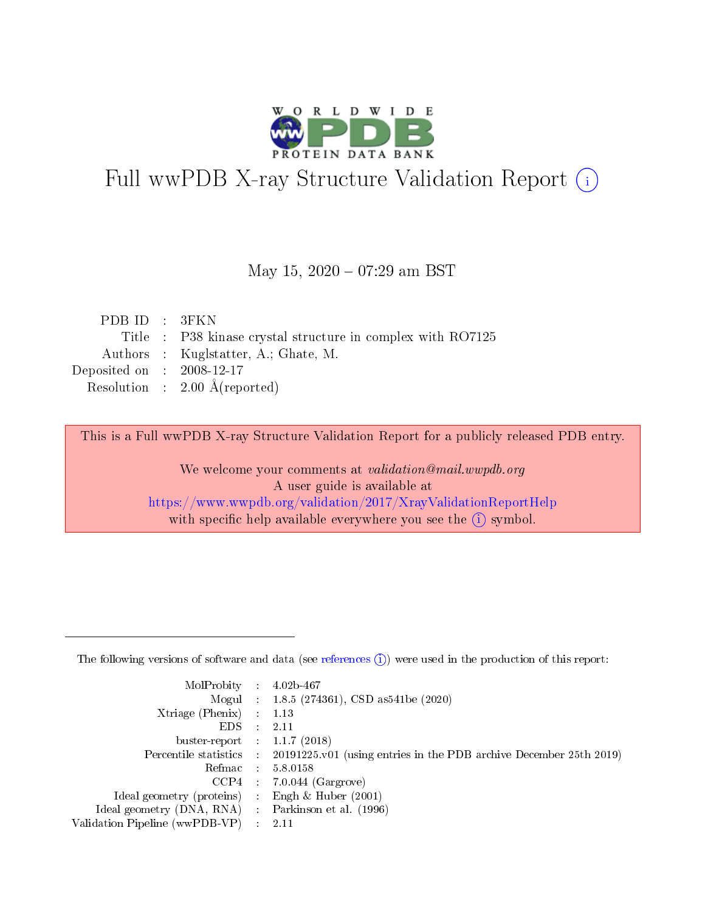

# Full wwPDB X-ray Structure Validation Report (i)

#### May 15,  $2020 - 07:29$  am BST

| PDB ID : 3FKN                                               |
|-------------------------------------------------------------|
| Title : P38 kinase crystal structure in complex with RO7125 |
| Authors : Kuglstatter, A.; Ghate, M.                        |
| Deposited on : $2008-12-17$                                 |
| Resolution : $2.00 \text{ Å}$ (reported)                    |
|                                                             |

This is a Full wwPDB X-ray Structure Validation Report for a publicly released PDB entry.

We welcome your comments at validation@mail.wwpdb.org A user guide is available at <https://www.wwpdb.org/validation/2017/XrayValidationReportHelp> with specific help available everywhere you see the  $(i)$  symbol.

The following versions of software and data (see [references](https://www.wwpdb.org/validation/2017/XrayValidationReportHelp#references)  $(1)$ ) were used in the production of this report:

| MolProbity :                   |               | $4.02b - 467$                                                               |
|--------------------------------|---------------|-----------------------------------------------------------------------------|
|                                |               | Mogul : $1.8.5$ (274361), CSD as 541be (2020)                               |
| $X$ triage (Phenix) :          |               | 1.13                                                                        |
| EDS.                           |               | 2.11                                                                        |
| buster-report : $1.1.7$ (2018) |               |                                                                             |
| Percentile statistics :        |               | $20191225 \text{v}01$ (using entries in the PDB archive December 25th 2019) |
| Refmac :                       |               | 5.8.0158                                                                    |
| $CCP4$ :                       |               | $7.0.044$ (Gargrove)                                                        |
| Ideal geometry (proteins) :    |               | Engh $\&$ Huber (2001)                                                      |
| Ideal geometry (DNA, RNA) :    |               | Parkinson et al. (1996)                                                     |
| Validation Pipeline (wwPDB-VP) | $\mathcal{L}$ | 2.11                                                                        |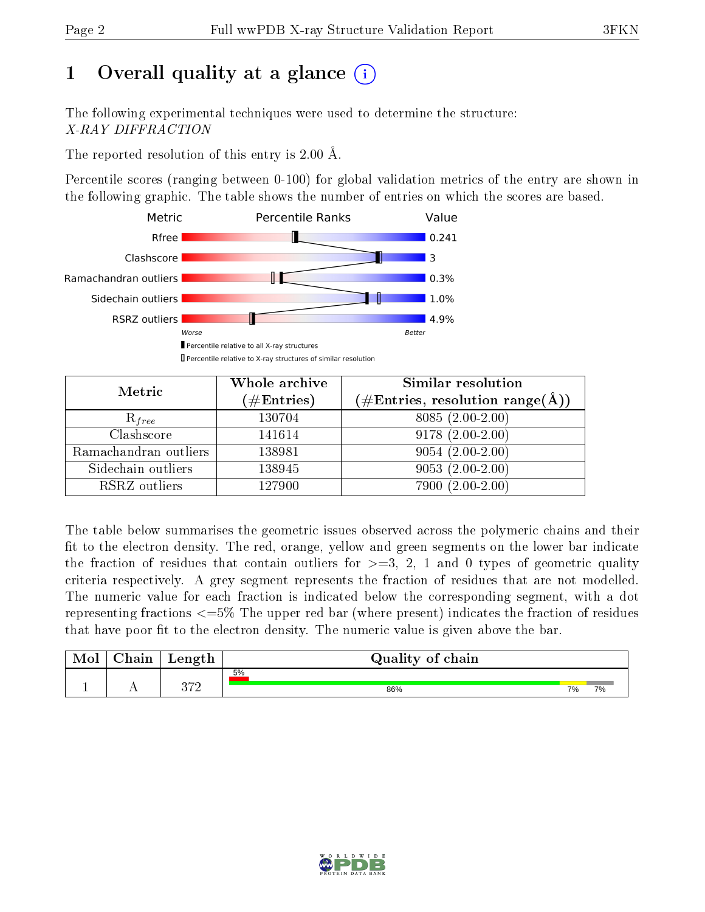# 1 [O](https://www.wwpdb.org/validation/2017/XrayValidationReportHelp#overall_quality)verall quality at a glance  $(i)$

The following experimental techniques were used to determine the structure: X-RAY DIFFRACTION

The reported resolution of this entry is  $2.00 \text{ Å}.$ 

Percentile scores (ranging between 0-100) for global validation metrics of the entry are shown in the following graphic. The table shows the number of entries on which the scores are based.



| Metric                | Whole archive<br>$(\#\mathrm{Entries})$ | Similar resolution<br>$(\#\text{Entries},\,\text{resolution}\,\,\text{range}(\textup{\AA}))$ |
|-----------------------|-----------------------------------------|----------------------------------------------------------------------------------------------|
| $R_{free}$            | 130704                                  | $8085(2.00-2.00)$                                                                            |
| Clashscore            | 141614                                  | $9178(2.00-2.00)$                                                                            |
| Ramachandran outliers | 138981                                  | $9054(2.00-2.00)$                                                                            |
| Sidechain outliers    | 138945                                  | $9053(2.00-2.00)$                                                                            |
| RSRZ outliers         | 127900                                  | $7900(2.00-2.00)$                                                                            |

The table below summarises the geometric issues observed across the polymeric chains and their fit to the electron density. The red, orange, yellow and green segments on the lower bar indicate the fraction of residues that contain outliers for  $>=3, 2, 1$  and 0 types of geometric quality criteria respectively. A grey segment represents the fraction of residues that are not modelled. The numeric value for each fraction is indicated below the corresponding segment, with a dot representing fractions <=5% The upper red bar (where present) indicates the fraction of residues that have poor fit to the electron density. The numeric value is given above the bar.

| Mol           | nin<br>паш | Length | Quality of chain |    |    |
|---------------|------------|--------|------------------|----|----|
|               |            | ດ⇔ດ    | 5%               |    |    |
| <u>. на п</u> | . .        | ノI∠    | 86%              | 7% | 7% |

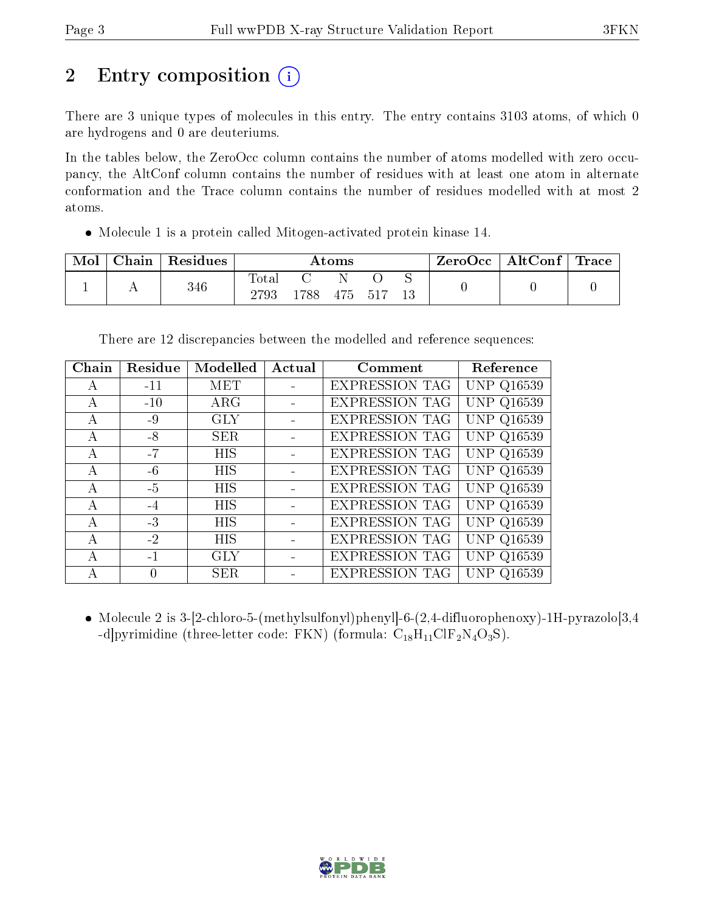# 2 Entry composition  $\left( \cdot \right)$

There are 3 unique types of molecules in this entry. The entry contains 3103 atoms, of which 0 are hydrogens and 0 are deuteriums.

In the tables below, the ZeroOcc column contains the number of atoms modelled with zero occupancy, the AltConf column contains the number of residues with at least one atom in alternate conformation and the Trace column contains the number of residues modelled with at most 2 atoms.

Molecule 1 is a protein called Mitogen-activated protein kinase 14.

| Mol | $\perp$ Chain $\perp$ | Residues | $\rm{Atoms}$        |      |     |      |  | $ZeroOcc \   \ AltConf \  $ | $\mid$ Trace $\mid$ |
|-----|-----------------------|----------|---------------------|------|-----|------|--|-----------------------------|---------------------|
|     |                       | 346      | $\rm Total$<br>2793 | 1788 | 475 | .517 |  |                             |                     |

There are 12 discrepancies between the modelled and reference sequences:

| Chain | Residue  | Modelled   | Actual | Comment               | Reference         |
|-------|----------|------------|--------|-----------------------|-------------------|
| А     | $-11$    | MET        |        | <b>EXPRESSION TAG</b> | <b>UNP Q16539</b> |
| А     | $-10$    | $\rm{ARG}$ |        | <b>EXPRESSION TAG</b> | <b>UNP Q16539</b> |
| A     | $-9$     | <b>GLY</b> |        | <b>EXPRESSION TAG</b> | <b>UNP Q16539</b> |
| A     | $-8$     | SER.       |        | <b>EXPRESSION TAG</b> | <b>UNP Q16539</b> |
| А     | $-7$     | <b>HIS</b> |        | <b>EXPRESSION TAG</b> | <b>UNP Q16539</b> |
| А     | $-6$     | <b>HIS</b> |        | <b>EXPRESSION TAG</b> | <b>UNP Q16539</b> |
| А     | $-5$     | <b>HIS</b> |        | <b>EXPRESSION TAG</b> | <b>UNP Q16539</b> |
| А     | $-4$     | <b>HIS</b> |        | <b>EXPRESSION TAG</b> | <b>UNP Q16539</b> |
| А     | $-3$     | <b>HIS</b> |        | <b>EXPRESSION TAG</b> | <b>UNP Q16539</b> |
| А     | $-2$     | <b>HIS</b> |        | <b>EXPRESSION TAG</b> | <b>UNP Q16539</b> |
| А     | $-1$     | <b>GLY</b> |        | <b>EXPRESSION TAG</b> | <b>UNP Q16539</b> |
| А     | $\theta$ | <b>SER</b> |        | <b>EXPRESSION TAG</b> | <b>UNP Q16539</b> |

• Molecule 2 is 3-[2-chloro-5-(methylsulfonyl)phenyl]-6-(2,4-difluorophenoxy)-1H-pyrazolo[3,4 -d]pyrimidine (three-letter code: FKN) (formula:  $C_{18}H_{11}ClF_2N_4O_3S$ ).

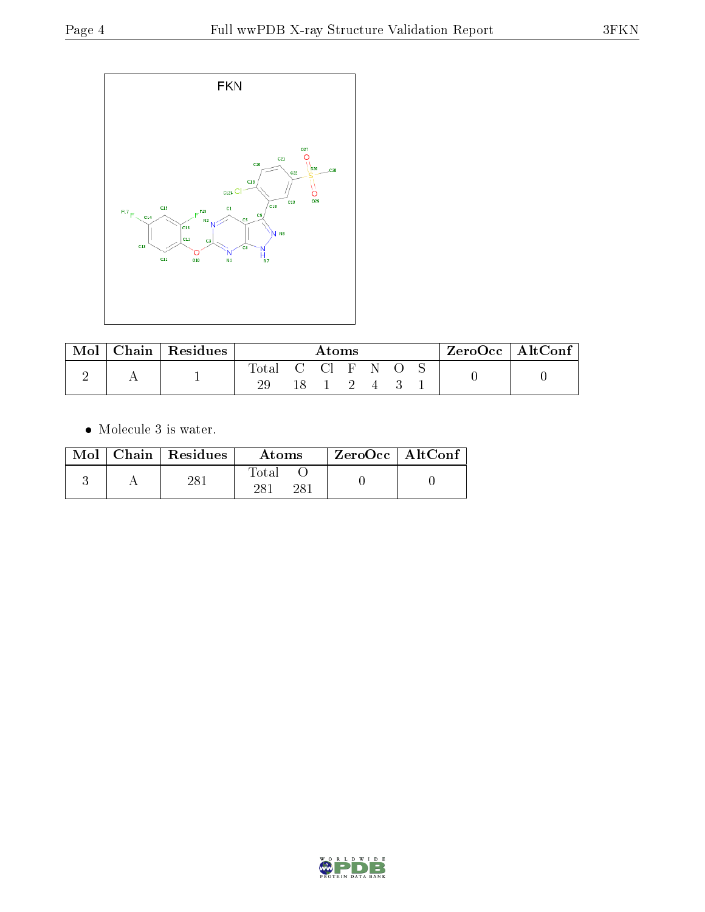

| Mol | $\cap$ hain. | Residues | Atoms       |  |        |  | $ZeroOcc \mid AltConf \mid$ |  |  |
|-----|--------------|----------|-------------|--|--------|--|-----------------------------|--|--|
|     |              |          | $\rm Total$ |  | - CI F |  | -N                          |  |  |
|     |              |          | 29          |  |        |  |                             |  |  |

 $\bullet\,$  Molecule 3 is water.

| Mol | Chain Residues | Atoms        | $ZeroOcc \mid AltConf$ |  |
|-----|----------------|--------------|------------------------|--|
|     | $28^{\degree}$ | Total<br>າວ- |                        |  |

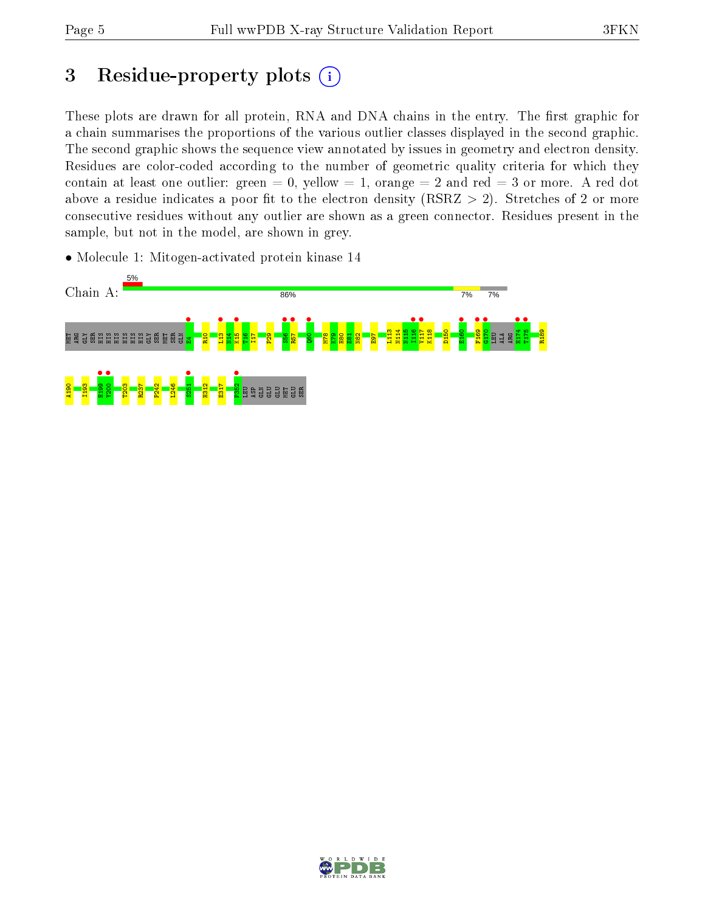# 3 Residue-property plots  $(i)$

These plots are drawn for all protein, RNA and DNA chains in the entry. The first graphic for a chain summarises the proportions of the various outlier classes displayed in the second graphic. The second graphic shows the sequence view annotated by issues in geometry and electron density. Residues are color-coded according to the number of geometric quality criteria for which they contain at least one outlier: green  $= 0$ , yellow  $= 1$ , orange  $= 2$  and red  $= 3$  or more. A red dot above a residue indicates a poor fit to the electron density (RSRZ  $> 2$ ). Stretches of 2 or more consecutive residues without any outlier are shown as a green connector. Residues present in the sample, but not in the model, are shown in grey.

• Molecule 1: Mitogen-activated protein kinase 14



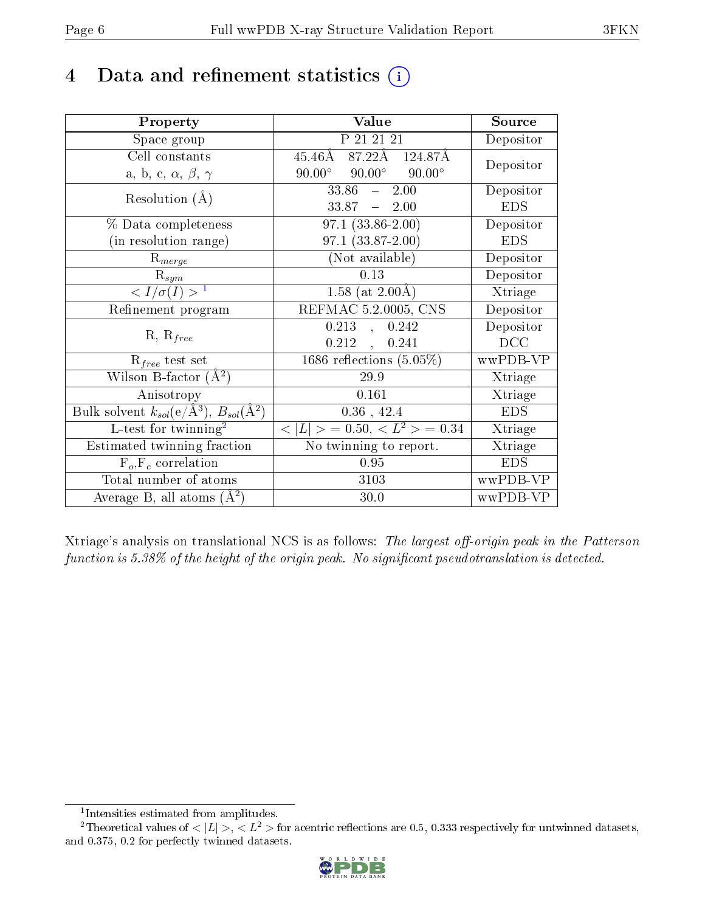# 4 Data and refinement statistics  $(i)$

| Property                                                             | Value                                            | Source                       |
|----------------------------------------------------------------------|--------------------------------------------------|------------------------------|
| Space group                                                          | P 21 21 21                                       | Depositor                    |
| Cell constants                                                       | $45.46\AA$ $87.22\AA$ $124.87\AA$                | Depositor                    |
| a, b, c, $\alpha$ , $\beta$ , $\gamma$                               | $90.00^{\circ}$ $90.00^{\circ}$<br>$90.00^\circ$ |                              |
| Resolution $(A)$                                                     | 33.86<br>2.00<br>$\frac{1}{2}$                   | Depositor                    |
|                                                                      | $33.87 - 2.00$                                   | <b>EDS</b>                   |
| % Data completeness                                                  | $97.1(33.86-2.00)$                               | Depositor                    |
| (in resolution range)                                                | $97.1(33.87-2.00)$                               | <b>EDS</b>                   |
| $R_{merge}$                                                          | (Not available)                                  | Depositor                    |
| $\mathrm{R}_{sym}$                                                   | 0.13                                             | Depositor                    |
| $\langle I/\sigma(I) \rangle^{-1}$                                   | 1.58 (at $2.00\text{\AA}$ )                      | Xtriage                      |
| Refinement program                                                   | REFMAC 5.2.0005, CNS                             | Depositor                    |
|                                                                      | 0.242<br>0.213<br>$\overline{a}$                 | Depositor                    |
| $R, R_{free}$                                                        | $0.212$ ,<br>0.241                               | DCC                          |
| $R_{free}$ test set                                                  | 1686 reflections $(5.05\%)$                      | wwPDB-VP                     |
| Wilson B-factor $(A^2)$                                              | 29.9                                             | Xtriage                      |
| Anisotropy                                                           | 0.161                                            | Xtriage                      |
| Bulk solvent $k_{sol}(e/\mathring{A}^3)$ , $B_{sol}(\mathring{A}^2)$ | $0.36$ , 42.4                                    | <b>EDS</b>                   |
| L-test for twinning <sup>2</sup>                                     | $< L >$ = 0.50, $< L2 >$ = 0.34                  | Xtriage                      |
| Estimated twinning fraction                                          | No twinning to report.                           | $\overline{\text{X}}$ triage |
| $F_o, F_c$ correlation                                               | 0.95                                             | <b>EDS</b>                   |
| Total number of atoms                                                | 3103                                             | wwPDB-VP                     |
| Average B, all atoms $(A^2)$                                         | 30.0                                             | wwPDB-VP                     |

Xtriage's analysis on translational NCS is as follows: The largest off-origin peak in the Patterson function is  $5.38\%$  of the height of the origin peak. No significant pseudotranslation is detected.

<sup>&</sup>lt;sup>2</sup>Theoretical values of  $\langle |L| \rangle$ ,  $\langle L^2 \rangle$  for acentric reflections are 0.5, 0.333 respectively for untwinned datasets, and 0.375, 0.2 for perfectly twinned datasets.



<span id="page-5-1"></span><span id="page-5-0"></span><sup>1</sup> Intensities estimated from amplitudes.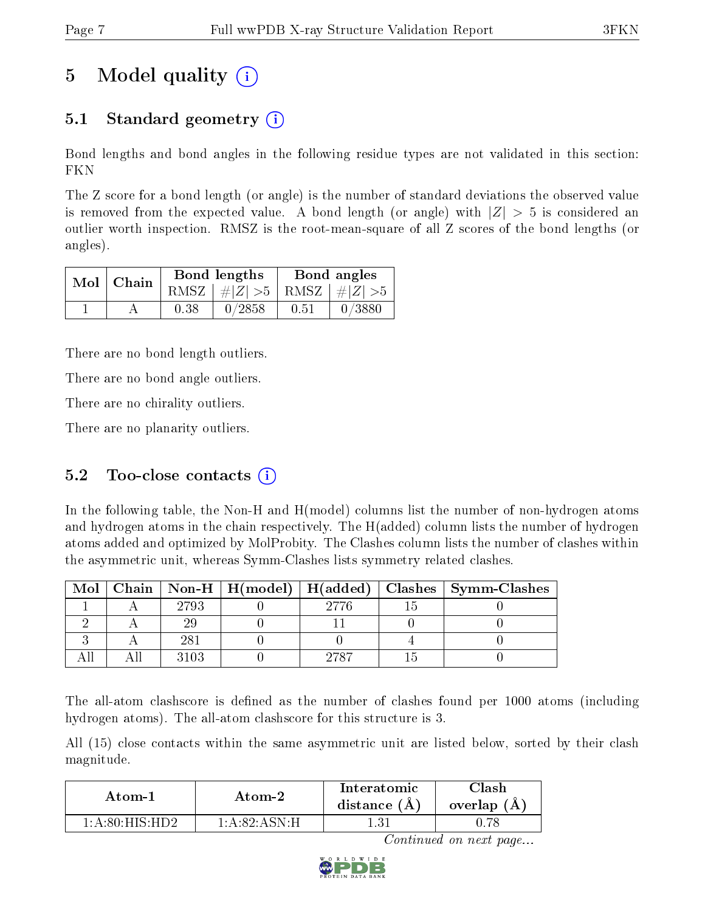# 5 Model quality  $(i)$

## 5.1 Standard geometry  $\overline{()}$

Bond lengths and bond angles in the following residue types are not validated in this section: FKN

The Z score for a bond length (or angle) is the number of standard deviations the observed value is removed from the expected value. A bond length (or angle) with  $|Z| > 5$  is considered an outlier worth inspection. RMSZ is the root-mean-square of all Z scores of the bond lengths (or angles).

| $Mol$   Chain |      | Bond lengths                    | Bond angles |        |  |
|---------------|------|---------------------------------|-------------|--------|--|
|               |      | RMSZ $ #Z  > 5$ RMSZ $ #Z  > 5$ |             |        |  |
|               | 0.38 | 0/2858                          | 0.51        | 0/3880 |  |

There are no bond length outliers.

There are no bond angle outliers.

There are no chirality outliers.

There are no planarity outliers.

#### 5.2 Too-close contacts  $(i)$

In the following table, the Non-H and H(model) columns list the number of non-hydrogen atoms and hydrogen atoms in the chain respectively. The H(added) column lists the number of hydrogen atoms added and optimized by MolProbity. The Clashes column lists the number of clashes within the asymmetric unit, whereas Symm-Clashes lists symmetry related clashes.

| Mol |      |      | Chain   Non-H   H(model)   H(added)   Clashes   Symm-Clashes |
|-----|------|------|--------------------------------------------------------------|
|     | 2793 |      |                                                              |
|     |      |      |                                                              |
|     | 281  |      |                                                              |
|     |      | 9787 |                                                              |

The all-atom clashscore is defined as the number of clashes found per 1000 atoms (including hydrogen atoms). The all-atom clashscore for this structure is 3.

All (15) close contacts within the same asymmetric unit are listed below, sorted by their clash magnitude.

| Atom-1                         | Atom-2                                        | Interatomic<br>distance $(A)$ | lash<br>overlap (A) |
|--------------------------------|-----------------------------------------------|-------------------------------|---------------------|
| $1: A:80 \cdot HIS \cdot HID2$ | $1 \cdot A \cdot 82 \cdot A \cdot SN \cdot H$ |                               |                     |

Continued on next page...

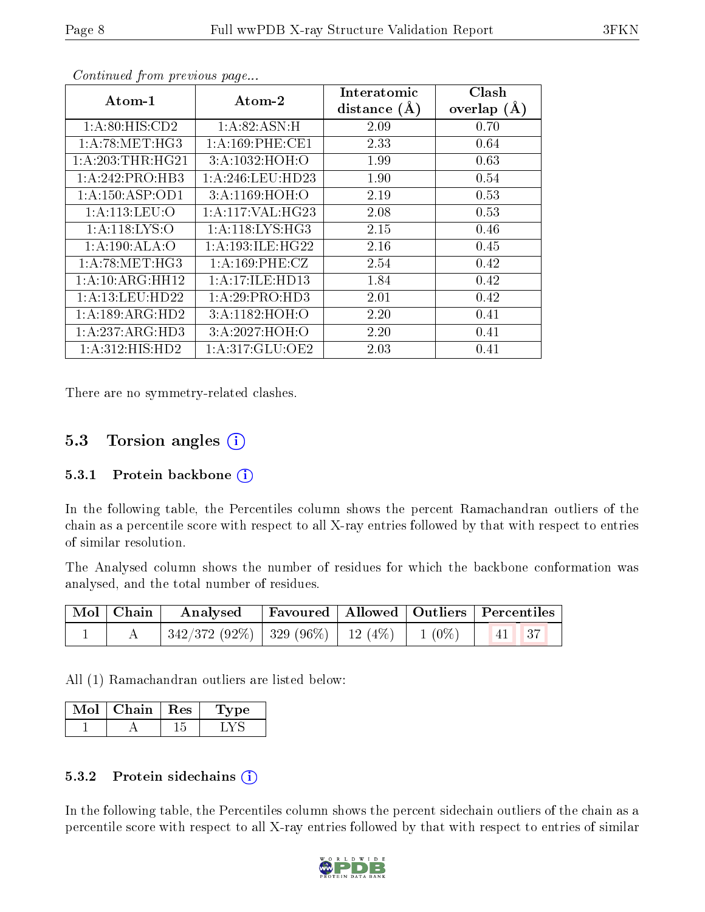| Atom-1              | $\boldsymbol{\mathrm{Atom}\text{-}2}$ | Interatomic    | Clash         |
|---------------------|---------------------------------------|----------------|---------------|
|                     |                                       | distance $(A)$ | overlap $(A)$ |
| 1:A:80:HIS:CD2      | 1:A:82:ASN:H                          | 2.09           | 0.70          |
| 1: A:78: MET:HG3    | 1: A:169: PHE:CE1                     | 2.33           | 0.64          |
| 1: A:203:THR:HG21   | 3: A: 1032: HOH:O                     | 1.99           | 0.63          |
| 1: A:242: PRO:HB3   | 1: A:246:LEU:HD23                     | 1.90           | 0.54          |
| 1:A:150:ASP:OD1     | 3: A:1169:HOH:O                       | 2.19           | 0.53          |
| 1: A:113: LEU:O     | 1: A:117: VAL:HG23                    | 2.08           | 0.53          |
| 1: A:118: LYS:O     | 1: A:118: LYS: HG3                    | 2.15           | 0.46          |
| 1:A:190:ALA:O       | 1: A: 193: ILE: HG22                  | 2.16           | 0.45          |
| 1: A:78: MET:HG3    | 1:A:169:PHE:CZ                        | 2.54           | 0.42          |
| 1:A:10:ARG:HH12     | 1:A:17:ILE:HD13                       | 1.84           | 0.42          |
| 1: A: 13: LEU: HD22 | 1:A:29:PRO:HD3                        | 2.01           | 0.42          |
| 1: A: 189: ARG: HD2 | 3: A:1182: HOH:O                      | 2.20           | 0.41          |
| 1:A:237:ARG:HD3     | 3:A:2027:HOH:O                        | 2.20           | 0.41          |
| 1: A:312: HIS: HD2  | 1: A:317: GLU:OE2                     | 2.03           | 0.41          |

Continued from previous page...

There are no symmetry-related clashes.

### 5.3 Torsion angles (i)

#### 5.3.1 Protein backbone  $(i)$

In the following table, the Percentiles column shows the percent Ramachandran outliers of the chain as a percentile score with respect to all X-ray entries followed by that with respect to entries of similar resolution.

The Analysed column shows the number of residues for which the backbone conformation was analysed, and the total number of residues.

| $\mid$ Mol $\mid$ Chain $\mid$ | Analysed Favoured   Allowed   Outliers   Percentiles |  |  |
|--------------------------------|------------------------------------------------------|--|--|
|                                | $342/372(92\%)$ 329 (96\%) 12 (4\%) 1 (0\%) 41 37    |  |  |

All (1) Ramachandran outliers are listed below:

| Chain ' | ∣ Res | рe. |
|---------|-------|-----|
|         |       |     |

#### 5.3.2 Protein sidechains  $\left( \mathbf{i} \right)$

In the following table, the Percentiles column shows the percent sidechain outliers of the chain as a percentile score with respect to all X-ray entries followed by that with respect to entries of similar

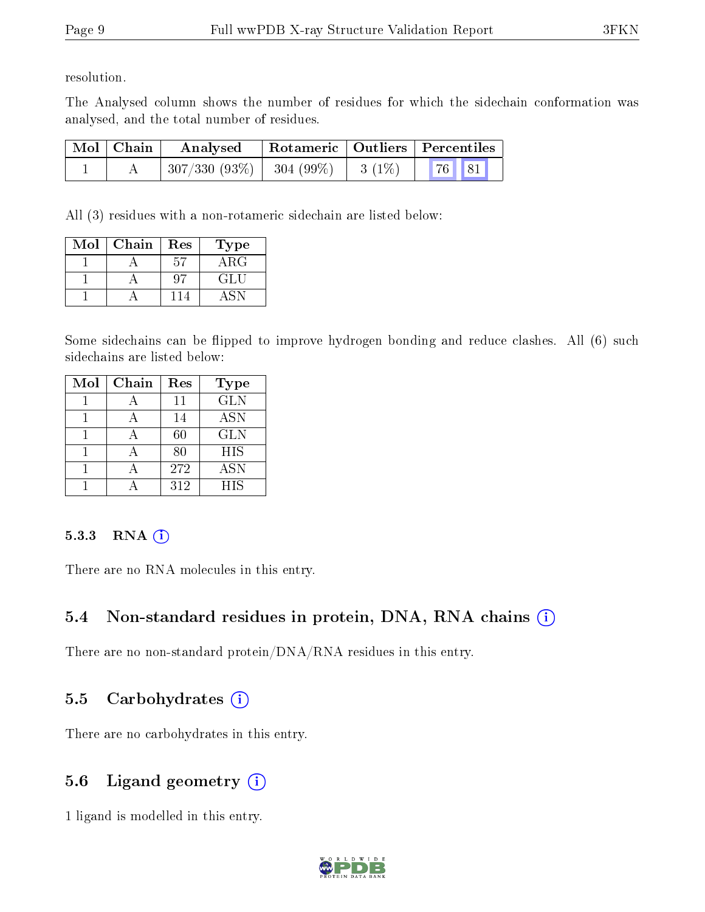resolution.

The Analysed column shows the number of residues for which the sidechain conformation was analysed, and the total number of residues.

| Mol   Chain | Analysed                   |          | Rotameric   Outliers   Percentiles |  |
|-------------|----------------------------|----------|------------------------------------|--|
|             | $307/330(93\%)$ 304 (99\%) | $3(1\%)$ | 76 81                              |  |

All (3) residues with a non-rotameric sidechain are listed below:

| Mol | Chain | Res | Type       |
|-----|-------|-----|------------|
|     |       |     | $\rm{ARG}$ |
|     |       |     | GLU        |
|     |       |     |            |

Some sidechains can be flipped to improve hydrogen bonding and reduce clashes. All (6) such sidechains are listed below:

| Mol | Chain | Res    | <b>Type</b> |
|-----|-------|--------|-------------|
|     |       | 11     | <b>GLN</b>  |
|     |       | 14     | <b>ASN</b>  |
|     |       | $60\,$ | <b>GLN</b>  |
|     |       | 80     | HIS         |
|     |       | 272    | <b>ASN</b>  |
|     |       | 312    | HIS         |

#### $5.3.3$  RNA  $(i)$

There are no RNA molecules in this entry.

### 5.4 Non-standard residues in protein, DNA, RNA chains (i)

There are no non-standard protein/DNA/RNA residues in this entry.

### 5.5 Carbohydrates  $(i)$

There are no carbohydrates in this entry.

## 5.6 Ligand geometry (i)

1 ligand is modelled in this entry.

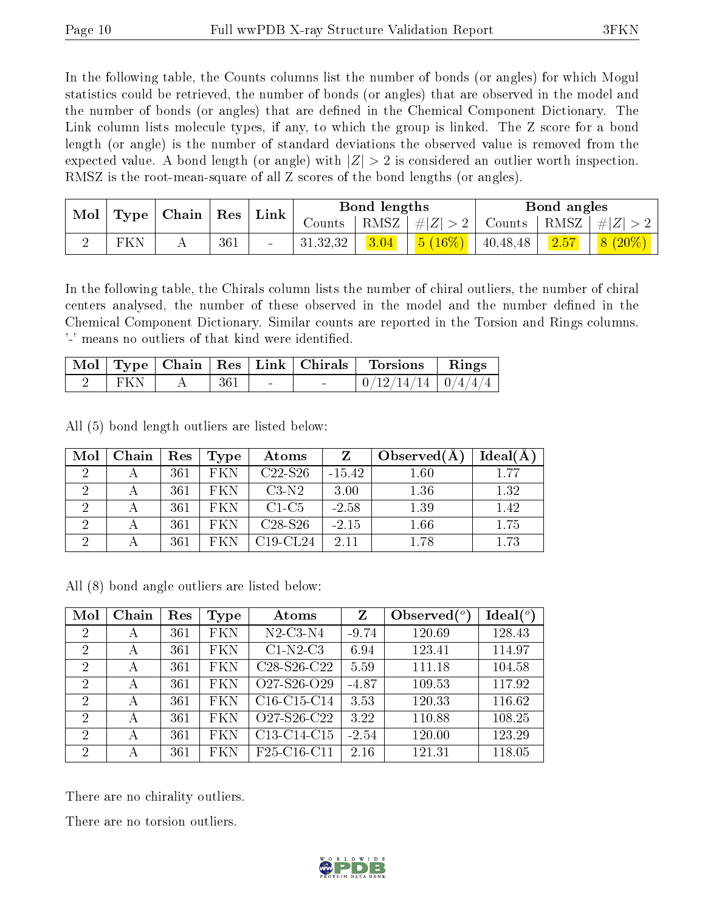In the following table, the Counts columns list the number of bonds (or angles) for which Mogul statistics could be retrieved, the number of bonds (or angles) that are observed in the model and the number of bonds (or angles) that are dened in the Chemical Component Dictionary. The Link column lists molecule types, if any, to which the group is linked. The Z score for a bond length (or angle) is the number of standard deviations the observed value is removed from the expected value. A bond length (or angle) with  $|Z| > 2$  is considered an outlier worth inspection. RMSZ is the root-mean-square of all Z scores of the bond lengths (or angles).

| Mol |     | $\mid$ Type $\mid$ Chain $\mid$ Res $\mid$ Link |     |          | Bond lengths |                             |        | Bond angles  |             |
|-----|-----|-------------------------------------------------|-----|----------|--------------|-----------------------------|--------|--------------|-------------|
|     |     |                                                 |     | Counts   | RMSZ         | $\# Z $                     | Counts | $+$ RMSZ $+$ | $\# Z $     |
|     | FKN |                                                 | 361 | 31,32,32 | 3.04         | $\frac{5 (16\%)}{40,48,48}$ |        | 2.57         | $(8 (20\%)$ |

In the following table, the Chirals column lists the number of chiral outliers, the number of chiral centers analysed, the number of these observed in the model and the number defined in the Chemical Component Dictionary. Similar counts are reported in the Torsion and Rings columns. '-' means no outliers of that kind were identified.

|       |     |                          | Mol   Type   Chain   Res   Link   Chirals   Torsions   Rings |  |
|-------|-----|--------------------------|--------------------------------------------------------------|--|
| ∣ FKN | 361 | $\overline{\phantom{0}}$ | $0/12/14/14$   $0/4/4/4$                                     |  |

All (5) bond length outliers are listed below:

| Mol | Chain | Res | Type       | Atoms       |          | Observed $(A)$ | $Ideal(\AA)$ |
|-----|-------|-----|------------|-------------|----------|----------------|--------------|
| 2   |       | 361 | FKN        | $C22-S26$   | $-15.42$ | 1.60           | 1.77         |
|     |       | 361 | FKN        | $C3-N2$     | 3.00     | 1.36           | 1.32         |
|     |       | 361 | FKN        | $C1-C5$     | $-2.58$  | 1.39           | 1.42         |
|     |       | 361 | <b>FKN</b> | $C28-S26$   | $-2.15$  | 1.66           | 1.75         |
|     |       | 361 | EK N.      | $C19$ -CL24 | 2.11     | 1.78           | 1.73         |

All (8) bond angle outliers are listed below:

| Mol            | Chain | Res | Type | Atoms                                             | Z       | Observed $(°)$ | $Ideal(^o)$ |
|----------------|-------|-----|------|---------------------------------------------------|---------|----------------|-------------|
| $\overline{2}$ | А     | 361 | FKN  | $N2$ -C3- $N4$                                    | $-9.74$ | 120.69         | 128.43      |
| 2              | А     | 361 | FKN  | $C1-N2-C3$                                        | 6.94    | 123.41         | 114.97      |
| 2              | А     | 361 | FKN  | C <sub>28</sub> -S <sub>26</sub> -C <sub>22</sub> | 5.59    | 111.18         | 104.58      |
| $\overline{2}$ | А     | 361 | FKN  | O27-S26-O29                                       | $-4.87$ | 109.53         | 117.92      |
| $\overline{2}$ | А     | 361 | FKN  | $C16-C15-C14$                                     | 3.53    | 120.33         | 116.62      |
| $\overline{2}$ | А     | 361 | FKN  | O27-S26-C22                                       | 3.22    | 110.88         | 108.25      |
| $\overline{2}$ | А     | 361 | FKN  | C <sub>13</sub> -C <sub>14</sub> -C <sub>15</sub> | $-2.54$ | 120.00         | 123.29      |
| 2              | А     | 361 | FKN  | F <sub>25</sub> -C <sub>16</sub> -C <sub>11</sub> | 2.16    | 121.31         | 118.05      |

There are no chirality outliers.

There are no torsion outliers.

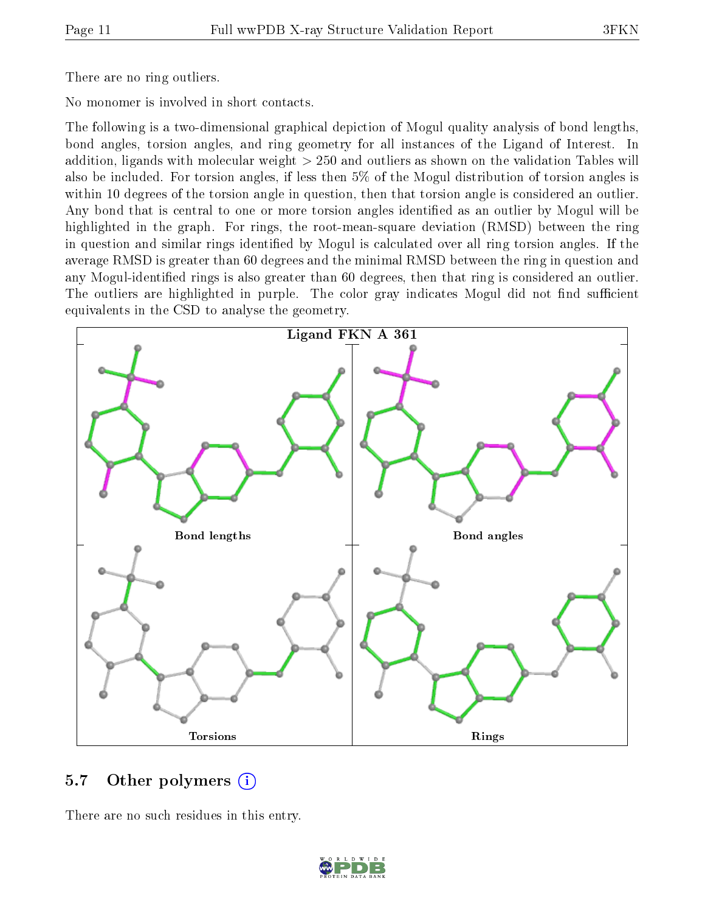There are no ring outliers.

No monomer is involved in short contacts.

The following is a two-dimensional graphical depiction of Mogul quality analysis of bond lengths, bond angles, torsion angles, and ring geometry for all instances of the Ligand of Interest. In addition, ligands with molecular weight > 250 and outliers as shown on the validation Tables will also be included. For torsion angles, if less then 5% of the Mogul distribution of torsion angles is within 10 degrees of the torsion angle in question, then that torsion angle is considered an outlier. Any bond that is central to one or more torsion angles identified as an outlier by Mogul will be highlighted in the graph. For rings, the root-mean-square deviation (RMSD) between the ring in question and similar rings identified by Mogul is calculated over all ring torsion angles. If the average RMSD is greater than 60 degrees and the minimal RMSD between the ring in question and any Mogul-identified rings is also greater than 60 degrees, then that ring is considered an outlier. The outliers are highlighted in purple. The color gray indicates Mogul did not find sufficient equivalents in the CSD to analyse the geometry.



#### 5.7 [O](https://www.wwpdb.org/validation/2017/XrayValidationReportHelp#nonstandard_residues_and_ligands)ther polymers  $(i)$

There are no such residues in this entry.

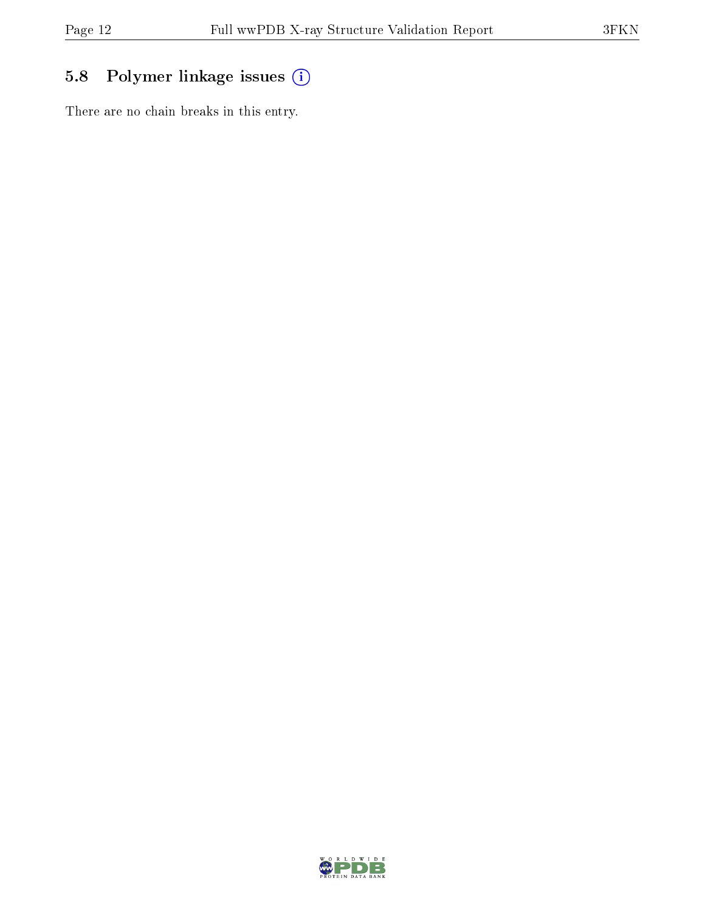## 5.8 Polymer linkage issues (i)

There are no chain breaks in this entry.

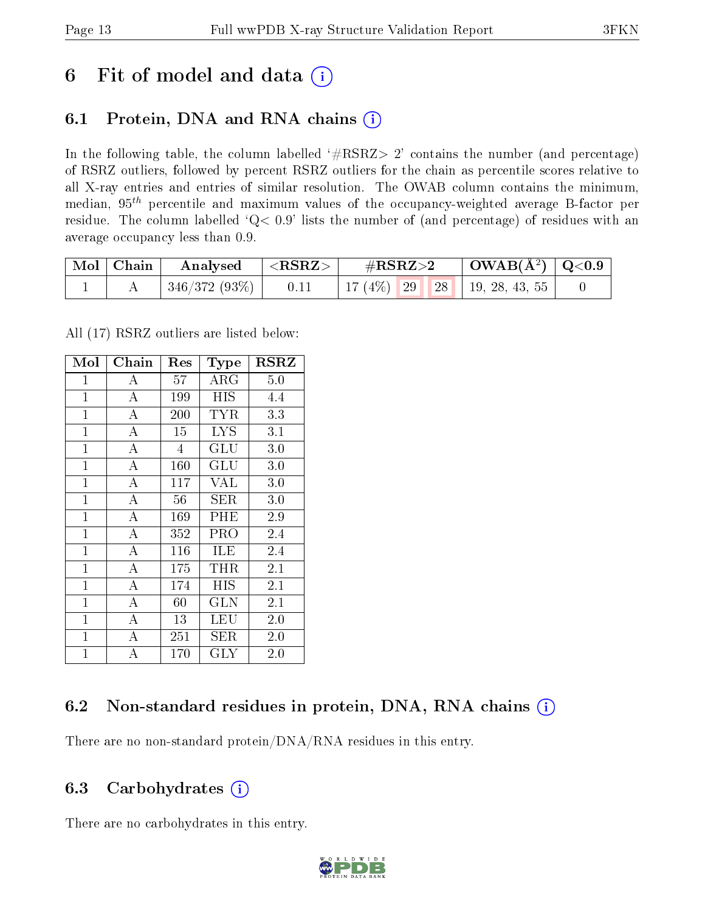## 6 Fit of model and data  $(i)$

### 6.1 Protein, DNA and RNA chains  $(i)$

In the following table, the column labelled  $#RSRZ> 2'$  contains the number (and percentage) of RSRZ outliers, followed by percent RSRZ outliers for the chain as percentile scores relative to all X-ray entries and entries of similar resolution. The OWAB column contains the minimum, median,  $95<sup>th</sup>$  percentile and maximum values of the occupancy-weighted average B-factor per residue. The column labelled ' $Q< 0.9$ ' lists the number of (and percentage) of residues with an average occupancy less than 0.9.

| $\mid$ Mol $\mid$ Chain | $\boldsymbol{\mathrm{Analysed}}$ | ${ <\hspace{-1.5pt}{\mathrm{RSRZ}} \hspace{-1.5pt}>}$ | $\#\text{RSRZ}\text{>2}$            | $\mid$ OWAB(Å <sup>2</sup> ) $\mid$ Q<0.9 |  |
|-------------------------|----------------------------------|-------------------------------------------------------|-------------------------------------|-------------------------------------------|--|
|                         | 346/372 (93%)                    | 0.11                                                  | 17 (4\%)   29   28   19, 28, 43, 55 |                                           |  |

All (17) RSRZ outliers are listed below:

| Mol            | Chain              | $\operatorname{Res}% \left( \mathcal{N}\right) \equiv\operatorname{Res}(\mathcal{N}_{0})\cap\mathcal{N}_{1}$ | Type                 | $_{\rm RSRZ}$ |
|----------------|--------------------|--------------------------------------------------------------------------------------------------------------|----------------------|---------------|
| $\mathbf{1}$   | А                  | 57                                                                                                           | $\rm{ARG}$           | 5.0           |
| $\mathbf{1}$   | А                  | 199                                                                                                          | HIS                  | 4.4           |
| $\mathbf{1}$   | А                  | 200                                                                                                          | TYR                  | 3.3           |
| $\mathbf{1}$   | А                  | 15                                                                                                           | <b>LYS</b>           | 3.1           |
| $\mathbf{1}$   | $\overline{\rm A}$ | 4                                                                                                            | $\operatorname{GLU}$ | 3.0           |
| $\mathbf{1}$   | $\overline{A}$     | 160                                                                                                          | $\operatorname{GLU}$ | 3.0           |
| $\mathbf{1}$   | $\overline{A}$     | 117                                                                                                          | VAL                  | 3.0           |
| $\mathbf{1}$   | $\overline{\rm A}$ | 56                                                                                                           | SER                  | 3.0           |
| $\mathbf{1}$   | $\overline{A}$     | 169                                                                                                          | PHE                  | 2.9           |
| $\mathbf{1}$   | $\overline{\rm A}$ | 352                                                                                                          | PRO                  | 2.4           |
| $\mathbf{1}$   | $\overline{A}$     | 116                                                                                                          | ILE                  | 2.4           |
| $\overline{1}$ | A                  | 175                                                                                                          | THR                  | 2.1           |
| $\overline{1}$ | $\overline{A}$     | 174                                                                                                          | <b>HIS</b>           | 2.1           |
| $\overline{1}$ | $\overline{A}$     | 60                                                                                                           | <b>GLN</b>           | 2.1           |
| $\mathbf{1}$   | $\bf{A}$           | 13                                                                                                           | LEU                  | 2.0           |
| $\overline{1}$ | $\bf{A}$           | 251                                                                                                          | <b>SER</b>           | 2.0           |
| $\mathbf{1}$   | $\overline{A}$     | 170                                                                                                          | $\rm GLY$            | 2.0           |

### 6.2 Non-standard residues in protein, DNA, RNA chains (i)

There are no non-standard protein/DNA/RNA residues in this entry.

#### 6.3 Carbohydrates  $(i)$

There are no carbohydrates in this entry.